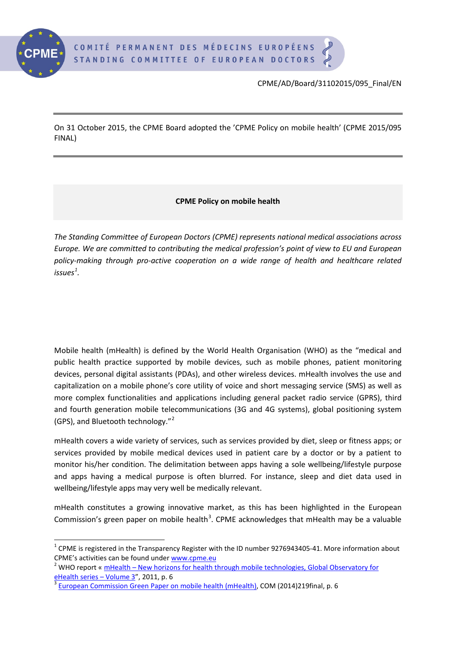

CPME/AD/Board/31102015/095\_Final/EN

On 31 October 2015, the CPME Board adopted the 'CPME Policy on mobile health' (CPME 2015/095 FINAL)

## **CPME Policy on mobile health**

*The Standing Committee of European Doctors (CPME) represents national medical associations across Europe. We are committed to contributing the medical profession's point of view to EU and European policy-making through pro-active cooperation on a wide range of health and healthcare related issues[1](#page-0-0) .*

Mobile health (mHealth) is defined by the World Health Organisation (WHO) as the "medical and public health practice supported by mobile devices, such as mobile phones, patient monitoring devices, personal digital assistants (PDAs), and other wireless devices. mHealth involves the use and capitalization on a mobile phone's core utility of voice and short messaging service (SMS) as well as more complex functionalities and applications including general packet radio service (GPRS), third and fourth generation mobile telecommunications (3G and 4G systems), global positioning system (GPS), and Bluetooth technology."[2](#page-0-1)

mHealth covers a wide variety of services, such as services provided by diet, sleep or fitness apps; or services provided by mobile medical devices used in patient care by a doctor or by a patient to monitor his/her condition. The delimitation between apps having a sole wellbeing/lifestyle purpose and apps having a medical purpose is often blurred. For instance, sleep and diet data used in wellbeing/lifestyle apps may very well be medically relevant.

mHealth constitutes a growing innovative market, as this has been highlighted in the European Commission's green paper on mobile health<sup>[3](#page-0-2)</sup>. CPME acknowledges that mHealth may be a valuable

<span id="page-0-0"></span> $1$  CPME is registered in the Transparency Register with the ID number 9276943405-41. More information about CPME's activities can be found unde[r www.cpme.eu](http://www.cpme.eu/) 2 WHO reports is activities can be found to be report « mHealth – New horizons for health through mobile technologies, Global Observatory for

<span id="page-0-1"></span>[eHealth series –](http://www.who.int/goe/publications/goe_mhealth_web.pdf) Volume 3", 2011, p. 6<br><sup>3</sup> [European Commission Green Paper on mobile health \(mHealth\),](http://ec.europa.eu/newsroom/dae/document.cfm?doc_id=5147) COM (2014)219final, p. 6

<span id="page-0-2"></span>